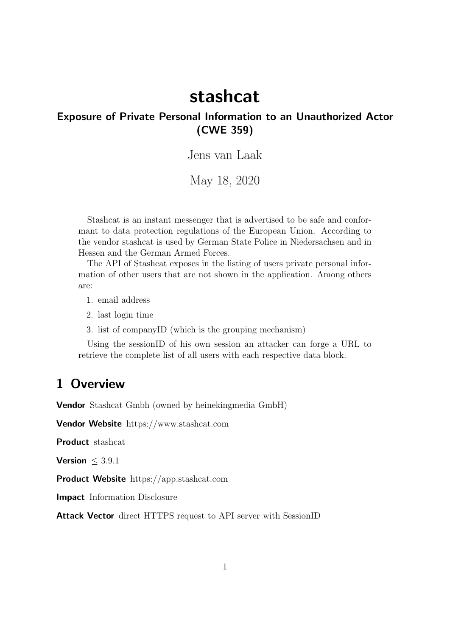# stashcat

#### Exposure of Private Personal Information to an Unauthorized Actor (CWE 359)

Jens van Laak

May 18, 2020

Stashcat is an instant messenger that is advertised to be safe and conformant to data protection regulations of the European Union. According to the vendor stashcat is used by German State Police in Niedersachsen and in Hessen and the German Armed Forces.

The API of Stashcat exposes in the listing of users private personal information of other users that are not shown in the application. Among others are:

1. email address

2. last login time

3. list of companyID (which is the grouping mechanism)

Using the sessionID of his own session an attacker can forge a URL to retrieve the complete list of all users with each respective data block.

## 1 Overview

Vendor Stashcat Gmbh (owned by heinekingmedia GmbH)

Vendor Website https://www.stashcat.com

Product stashcat

**Version**  $\leq 3.9.1$ 

Product Website https://app.stashcat.com

Impact Information Disclosure

Attack Vector direct HTTPS request to API server with SessionID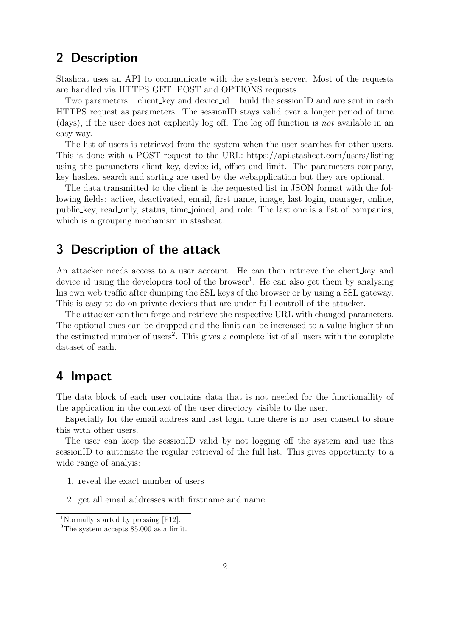## 2 Description

Stashcat uses an API to communicate with the system's server. Most of the requests are handled via HTTPS GET, POST and OPTIONS requests.

Two parameters – client key and device id – build the sessionID and are sent in each HTTPS request as parameters. The sessionID stays valid over a longer period of time (days), if the user does not explicitly log off. The log off function is not available in an easy way.

The list of users is retrieved from the system when the user searches for other users. This is done with a POST request to the URL: https://api.stashcat.com/users/listing using the parameters client key, device id, offset and limit. The parameters company, key hashes, search and sorting are used by the webapplication but they are optional.

The data transmitted to the client is the requested list in JSON format with the following fields: active, deactivated, email, first name, image, last login, manager, online, public key, read only, status, time joined, and role. The last one is a list of companies, which is a grouping mechanism in stashcat.

## 3 Description of the attack

An attacker needs access to a user account. He can then retrieve the client key and device id using the developers tool of the browser<sup>1</sup>. He can also get them by analysing his own web traffic after dumping the SSL keys of the browser or by using a SSL gateway. This is easy to do on private devices that are under full controll of the attacker.

The attacker can then forge and retrieve the respective URL with changed parameters. The optional ones can be dropped and the limit can be increased to a value higher than the estimated number of users<sup>2</sup>. This gives a complete list of all users with the complete dataset of each.

## 4 Impact

The data block of each user contains data that is not needed for the functionallity of the application in the context of the user directory visible to the user.

Especially for the email address and last login time there is no user consent to share this with other users.

The user can keep the sessionID valid by not logging off the system and use this sessionID to automate the regular retrieval of the full list. This gives opportunity to a wide range of analyis:

- 1. reveal the exact number of users
- 2. get all email addresses with firstname and name

<sup>1</sup>Normally started by pressing [F12].

<sup>2</sup>The system accepts 85.000 as a limit.